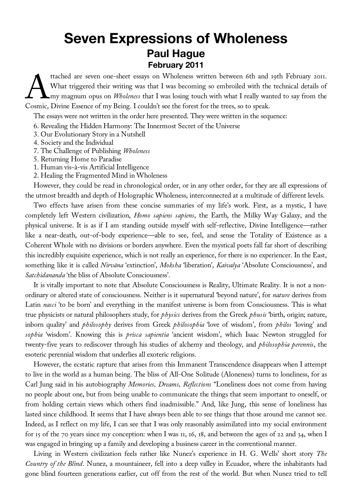## **Seven Expressions of Wholeness Paul Hague February 2011**

ttached are seven one-sheet essays on Wholeness written between 6th and 19th February 2011. What triggered their writing was that I was becoming so embroiled with the technical details of Amy magnum opus on *Wholeness* that I was losing touch with what I really wanted to say from the ttached are seven one-sheet essays on Wholeness written between 6th and<br>What triggered their writing was that I was becoming so embroiled with the<br>Cosmic, Divine Essence of my Being. I couldn't see the forest for the trees

The essays were not written in the order here presented. They were written in the sequence:

- 6. Revealing the Hidden Harmony: The Innermost Secret of the Universe
- 3. Our Evolutionary Story in a Nutshell
- 4. Society and the Individual
- 7. The Challenge of Publishing *Wholeness*
- 5. Returning Home to Paradise
- 1. Human vis-à-vis Artificial Intelligence
- 2. Healing the Fragmented Mind in Wholeness

However, they could be read in chronological order, or in any other order, for they are all expressions of the utmost breadth and depth of Holographic Wholeness, interconnected at a multitude of different levels.

Two effects have arisen from these concise summaries of my life's work. First, as a mystic, I have completely left Western civilization, *Homo sapiens sapiens*, the Earth, the Milky Way Galaxy, and the physical universe. It is as if I am standing outside myself with self-reflective, Divine Intelligence—rather like a near-death, out-of-body experience—able to see, feel, and sense the Totality of Existence as a Coherent Whole with no divisions or borders anywhere. Even the mystical poets fall far short of describing this incredibly exquisite experience, which is not really an experience, for there is no experiencer. In the East, something like it is called *Nirvāna* 'extinction', *Moksha* 'liberation', *Kaivalya* 'Absolute Consciousness', and *Satchidananda* 'the bliss of Absolute Consciousness'.

It is vitally important to note that Absolute Consciousness is Reality, Ultimate Reality. It is not a nonordinary or altered state of consciousness. Neither is it supernatural 'beyond nature', for *nature* derives from Latin *nasci* 'to be born' and everything in the manifest universe is born from Consciousness. This is what true physicists or natural philosophers study, for *physics* derives from the Greek *phusis* 'birth, origin; nature, inborn quality' and *philosophy* derives from Greek *philosophia* 'love of wisdom', from *philos* 'loving' and *sophia* 'wisdom'. Knowing this is *prisca sapientia* 'ancient wisdom', which Isaac Newton struggled for twenty-five years to rediscover through his studies of alchemy and theology, and *philosophia perennis*, the esoteric perennial wisdom that underlies all exoteric religions.

However, the ecstatic rapture that arises from this Immanent Transcendence disappears when I attempt to live in the world as a human being. The bliss of All-One Solitude (Aloneness) turns to loneliness, for as Carl Jung said in his autobiography *Memories, Dreams, Reflections* "Loneliness does not come from having no people about one, but from being unable to communicate the things that seem important to oneself, or from holding certain views which others find inadmissible." And, like Jung, this sense of loneliness has lasted since childhood. It seems that I have always been able to see things that those around me cannot see. Indeed, as I reflect on my life, I can see that I was only reasonably assimilated into my social environment for 15 of the 70 years since my conception: when I was 11, 16, 18, and between the ages of 22 and 34, when I was engaged in bringing up a family and developing a business career in the conventional manner.

Living in Western civilization feels rather like Nunez's experience in H. G. Wells' short story *The Country of the Blind*. Nunez, a mountaineer, fell into a deep valley in Ecuador, where the inhabitants had gone blind fourteen generations earlier, cut off from the rest of the world. But when Nunez tried to tell